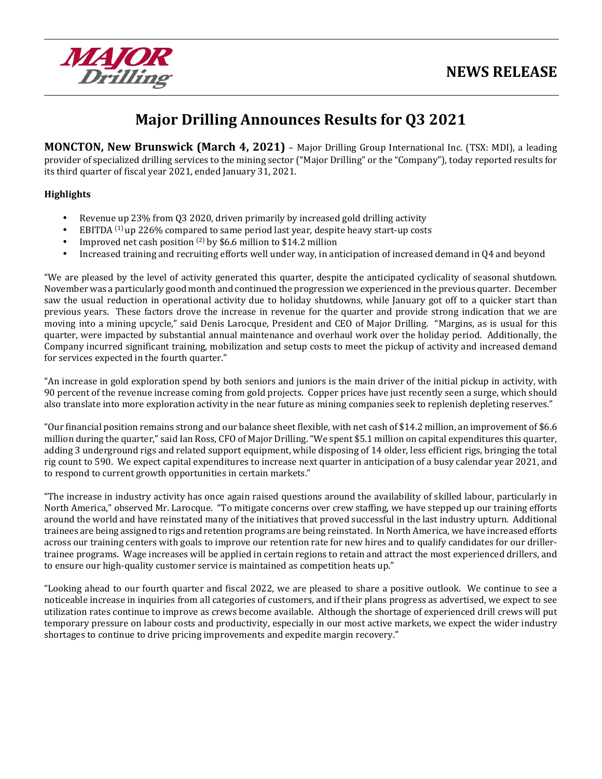

# **Major Drilling Announces Results for Q3 2021**

**MONCTON, New Brunswick (March 4, 2021)** – Major Drilling Group International Inc. (TSX: MDI), a leading provider of specialized drilling services to the mining sector ("Major Drilling" or the "Company"), today reported results for its third quarter of fiscal year 2021, ended January 31, 2021.

#### **Highlights**

- Revenue up 23% from Q3 2020, driven primarily by increased gold drilling activity
- EBITDA  $(1)$  up 226% compared to same period last year, despite heavy start-up costs
- Improved net cash position  $(2)$  by \$6.6 million to \$14.2 million
- Increased training and recruiting efforts well under way, in anticipation of increased demand in Q4 and beyond

"We are pleased by the level of activity generated this quarter, despite the anticipated cyclicality of seasonal shutdown. November was a particularly good month and continued the progression we experienced in the previous quarter. December saw the usual reduction in operational activity due to holiday shutdowns, while January got off to a quicker start than previous years. These factors drove the increase in revenue for the quarter and provide strong indication that we are moving into a mining upcycle," said Denis Larocque, President and CEO of Major Drilling. "Margins, as is usual for this quarter, were impacted by substantial annual maintenance and overhaul work over the holiday period. Additionally, the Company incurred significant training, mobilization and setup costs to meet the pickup of activity and increased demand for services expected in the fourth quarter."

"An increase in gold exploration spend by both seniors and juniors is the main driver of the initial pickup in activity, with 90 percent of the revenue increase coming from gold projects. Copper prices have just recently seen a surge, which should also translate into more exploration activity in the near future as mining companies seek to replenish depleting reserves."

"Our financial position remains strong and our balance sheet flexible, with net cash of \$14.2 million, an improvement of \$6.6 million during the quarter," said Ian Ross, CFO of Major Drilling. "We spent \$5.1 million on capital expenditures this quarter, adding 3 underground rigs and related support equipment, while disposing of 14 older, less efficient rigs, bringing the total rig count to 590. We expect capital expenditures to increase next quarter in anticipation of a busy calendar year 2021, and to respond to current growth opportunities in certain markets."

"The increase in industry activity has once again raised questions around the availability of skilled labour, particularly in North America," observed Mr. Larocque. "To mitigate concerns over crew staffing, we have stepped up our training efforts around the world and have reinstated many of the initiatives that proved successful in the last industry upturn. Additional trainees are being assigned to rigs and retention programs are being reinstated. In North America, we have increased efforts across our training centers with goals to improve our retention rate for new hires and to qualify candidates for our drillertrainee programs. Wage increases will be applied in certain regions to retain and attract the most experienced drillers, and to ensure our high-quality customer service is maintained as competition heats up."

"Looking ahead to our fourth quarter and fiscal 2022, we are pleased to share a positive outlook. We continue to see a noticeable increase in inquiries from all categories of customers, and if their plans progress as advertised, we expect to see utilization rates continue to improve as crews become available. Although the shortage of experienced drill crews will put temporary pressure on labour costs and productivity, especially in our most active markets, we expect the wider industry shortages to continue to drive pricing improvements and expedite margin recovery."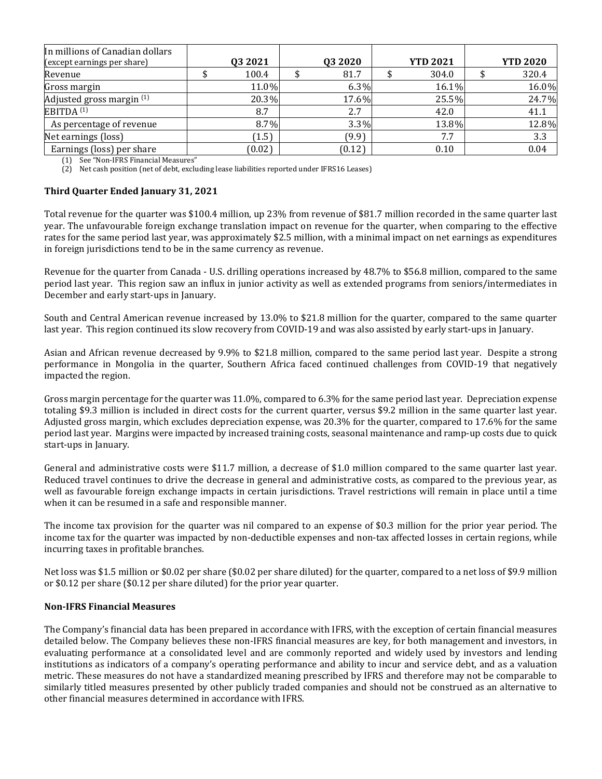| In millions of Canadian dollars<br>(except earnings per share) | 03 2021 | Q3 2020 | <b>YTD 2021</b> | <b>YTD 2020</b> |
|----------------------------------------------------------------|---------|---------|-----------------|-----------------|
| Revenue                                                        | 100.4   | 81.7    | 304.0           | 320.4           |
| Gross margin                                                   | 11.0%   | 6.3%    | 16.1%           | 16.0%           |
| Adjusted gross margin (1)                                      | 20.3%   | 17.6%   | 25.5%           | 24.7%           |
| EBITDA <sup>(1)</sup>                                          | 8.7     | 2.7     | 42.0            | 41.1            |
| As percentage of revenue                                       | 8.7%    | $3.3\%$ | 13.8%           | 12.8%           |
| Net earnings (loss)                                            | (1.5)   | (9.9)   | 7.7             | 3.3             |
| Earnings (loss) per share                                      | (0.02)  | (0.12)  | 0.10            | 0.04            |

(1) See "Non-IFRS Financial Measures"

(2) Net cash position (net of debt, excluding lease liabilities reported under IFRS16 Leases)

#### **Third Quarter Ended January 31, 2021**

Total revenue for the quarter was \$100.4 million, up 23% from revenue of \$81.7 million recorded in the same quarter last year. The unfavourable foreign exchange translation impact on revenue for the quarter, when comparing to the effective rates for the same period last year, was approximately \$2.5 million, with a minimal impact on net earnings as expenditures in foreign jurisdictions tend to be in the same currency as revenue.

Revenue for the quarter from Canada - U.S. drilling operations increased by 48.7% to \$56.8 million, compared to the same period last year. This region saw an influx in junior activity as well as extended programs from seniors/intermediates in December and early start-ups in January.

South and Central American revenue increased by 13.0% to \$21.8 million for the quarter, compared to the same quarter last year. This region continued its slow recovery from COVID-19 and was also assisted by early start-ups in January.

Asian and African revenue decreased by 9.9% to \$21.8 million, compared to the same period last year. Despite a strong performance in Mongolia in the quarter, Southern Africa faced continued challenges from COVID-19 that negatively impacted the region.

Gross margin percentage for the quarter was 11.0%, compared to 6.3% for the same period last year. Depreciation expense totaling \$9.3 million is included in direct costs for the current quarter, versus \$9.2 million in the same quarter last year. Adjusted gross margin, which excludes depreciation expense, was 20.3% for the quarter, compared to 17.6% for the same period last year. Margins were impacted by increased training costs, seasonal maintenance and ramp-up costs due to quick start-ups in January.

General and administrative costs were \$11.7 million, a decrease of \$1.0 million compared to the same quarter last year. Reduced travel continues to drive the decrease in general and administrative costs, as compared to the previous year, as well as favourable foreign exchange impacts in certain jurisdictions. Travel restrictions will remain in place until a time when it can be resumed in a safe and responsible manner.

The income tax provision for the quarter was nil compared to an expense of \$0.3 million for the prior year period. The income tax for the quarter was impacted by non-deductible expenses and non-tax affected losses in certain regions, while incurring taxes in profitable branches.

Net loss was \$1.5 million or \$0.02 per share (\$0.02 per share diluted) for the quarter, compared to a net loss of \$9.9 million or \$0.12 per share (\$0.12 per share diluted) for the prior year quarter.

#### **Non-IFRS Financial Measures**

The Company's financial data has been prepared in accordance with IFRS, with the exception of certain financial measures detailed below. The Company believes these non-IFRS financial measures are key, for both management and investors, in evaluating performance at a consolidated level and are commonly reported and widely used by investors and lending institutions as indicators of a company's operating performance and ability to incur and service debt, and as a valuation metric. These measures do not have a standardized meaning prescribed by IFRS and therefore may not be comparable to similarly titled measures presented by other publicly traded companies and should not be construed as an alternative to other financial measures determined in accordance with IFRS.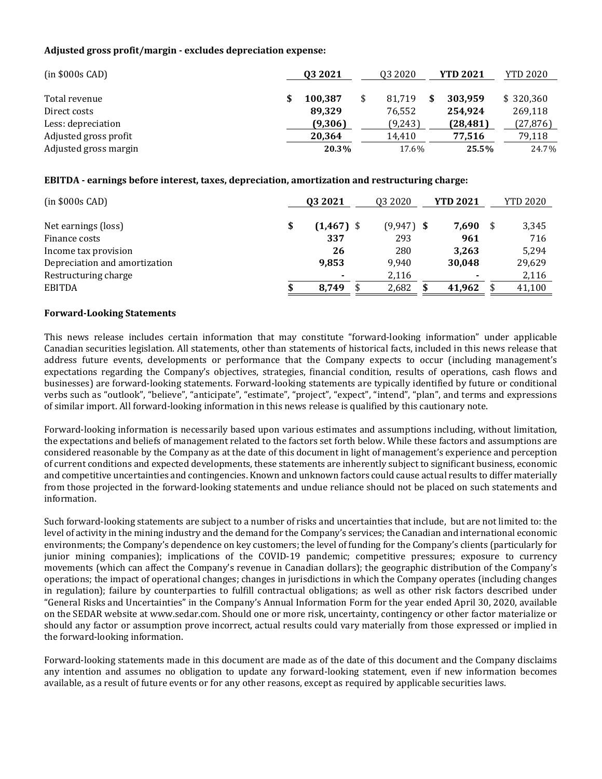#### **Adjusted gross profit/margin - excludes depreciation expense:**

| $(in $000s$ CAD)      | 03 2021 | 03 20 20 | <b>YTD 2021</b> | <b>YTD 2020</b> |
|-----------------------|---------|----------|-----------------|-----------------|
|                       |         |          |                 |                 |
| Total revenue         | 100.387 | 81.719   | 303.959         | \$320,360       |
| Direct costs          | 89.329  | 76.552   | 254,924         | 269,118         |
| Less: depreciation    | (9,306) | (9,243)  | (28, 481)       | (27, 876)       |
| Adjusted gross profit | 20,364  | 14.410   | 77.516          | 79,118          |
| Adjusted gross margin | 20.3%   | 17.6%    | 25.5%           | 24.7%           |

#### **EBITDA - earnings before interest, taxes, depreciation, amortization and restructuring charge:**

| $(in $000s$ CAD $)$           | 03 2021      | Q3 2020 |              | <b>YTD 2021</b> |      | <b>YTD 2020</b> |
|-------------------------------|--------------|---------|--------------|-----------------|------|-----------------|
|                               |              |         |              |                 |      |                 |
| \$<br>Net earnings (loss)     | $(1,467)$ \$ |         | $(9,947)$ \$ | 7,690           | - \$ | 3,345           |
| Finance costs                 | 337          |         | 293          | 961             |      | 716             |
| Income tax provision          | 26           |         | 280          | 3,263           |      | 5,294           |
| Depreciation and amortization | 9,853        |         | 9,940        | 30,048          |      | 29,629          |
| Restructuring charge          |              |         | 2,116        |                 |      | 2,116           |
| <b>EBITDA</b><br>\$           | 8.749        |         | 2,682        | 41,962          |      | 41,100          |

#### **Forward-Looking Statements**

This news release includes certain information that may constitute "forward-looking information" under applicable Canadian securities legislation. All statements, other than statements of historical facts, included in this news release that address future events, developments or performance that the Company expects to occur (including management's expectations regarding the Company's objectives, strategies, financial condition, results of operations, cash flows and businesses) are forward-looking statements. Forward-looking statements are typically identified by future or conditional verbs such as "outlook", "believe", "anticipate", "estimate", "project", "expect", "intend", "plan", and terms and expressions of similar import. All forward-looking information in this news release is qualified by this cautionary note.

Forward-looking information is necessarily based upon various estimates and assumptions including, without limitation, the expectations and beliefs of management related to the factors set forth below. While these factors and assumptions are considered reasonable by the Company as at the date of this document in light of management's experience and perception of current conditions and expected developments, these statements are inherently subject to significant business, economic and competitive uncertainties and contingencies. Known and unknown factors could cause actual results to differ materially from those projected in the forward-looking statements and undue reliance should not be placed on such statements and information.

Such forward-looking statements are subject to a number of risks and uncertainties that include, but are not limited to: the level of activity in the mining industry and the demand for the Company's services; the Canadian and international economic environments; the Company's dependence on key customers; the level of funding for the Company's clients (particularly for junior mining companies); implications of the COVID-19 pandemic; competitive pressures; exposure to currency movements (which can affect the Company's revenue in Canadian dollars); the geographic distribution of the Company's operations; the impact of operational changes; changes in jurisdictions in which the Company operates (including changes in regulation); failure by counterparties to fulfill contractual obligations; as well as other risk factors described under "General Risks and Uncertainties" in the Company's Annual Information Form for the year ended April 30, 2020, available on the SEDAR website at www.sedar.com. Should one or more risk, uncertainty, contingency or other factor materialize or should any factor or assumption prove incorrect, actual results could vary materially from those expressed or implied in the forward-looking information.

Forward-looking statements made in this document are made as of the date of this document and the Company disclaims any intention and assumes no obligation to update any forward-looking statement, even if new information becomes available, as a result of future events or for any other reasons, except as required by applicable securities laws.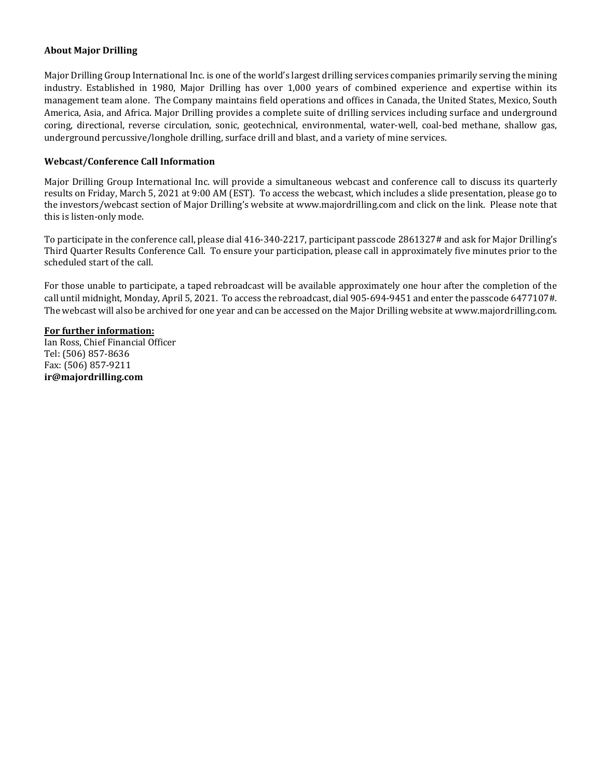#### **About Major Drilling**

Major Drilling Group International Inc. is one of the world's largest drilling services companies primarily serving the mining industry. Established in 1980, Major Drilling has over 1,000 years of combined experience and expertise within its management team alone. The Company maintains field operations and offices in Canada, the United States, Mexico, South America, Asia, and Africa. Major Drilling provides a complete suite of drilling services including surface and underground coring, directional, reverse circulation, sonic, geotechnical, environmental, water-well, coal-bed methane, shallow gas, underground percussive/longhole drilling, surface drill and blast, and a variety of mine services.

#### **Webcast/Conference Call Information**

Major Drilling Group International Inc. will provide a simultaneous webcast and conference call to discuss its quarterly results on Friday, March 5, 2021 at 9:00 AM (EST). To access the webcast, which includes a slide presentation, please go to the investors/webcast section of Major Drilling's website at www.majordrilling.com and click on the link. Please note that this is listen-only mode.

To participate in the conference call, please dial 416-340-2217, participant passcode 2861327# and ask for Major Drilling's Third Quarter Results Conference Call. To ensure your participation, please call in approximately five minutes prior to the scheduled start of the call.

For those unable to participate, a taped rebroadcast will be available approximately one hour after the completion of the call until midnight, Monday, April 5, 2021. To access the rebroadcast, dial 905-694-9451 and enter the passcode 6477107#. The webcast will also be archived for one year and can be accessed on the Major Drilling website at [www.majordrilling.com.](http://www.majordrilling.com/)

#### **For further information:**

Ian Ross, Chief Financial Officer Tel: (506) 857-8636 Fax: (506) 857-9211 **[ir@majordrilling.com](mailto:ir@majordrilling.com)**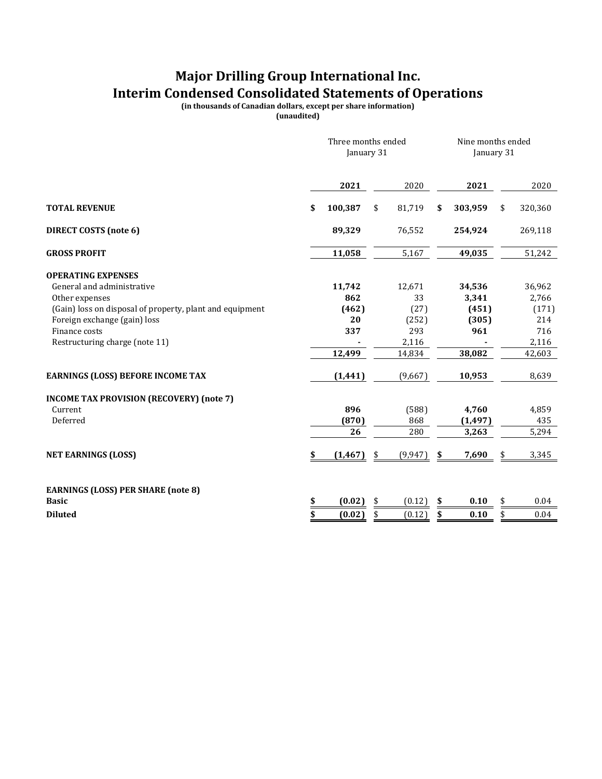### **Major Drilling Group International Inc. Interim Condensed Consolidated Statements of Operations**

**(in thousands of Canadian dollars, except per share information)**

**(unaudited)**

|                                                                            | Three months ended<br>January 31 |              |    |            |    | Nine months ended<br>January 31 |    |                |  |
|----------------------------------------------------------------------------|----------------------------------|--------------|----|------------|----|---------------------------------|----|----------------|--|
|                                                                            |                                  | 2021         |    | 2020       |    | 2021                            |    | 2020           |  |
| <b>TOTAL REVENUE</b>                                                       | \$                               | 100,387      | \$ | 81,719     | \$ | 303,959                         | \$ | 320,360        |  |
| <b>DIRECT COSTS (note 6)</b>                                               |                                  | 89,329       |    | 76,552     |    | 254,924                         |    | 269,118        |  |
| <b>GROSS PROFIT</b>                                                        |                                  | 11,058       |    | 5,167      |    | 49,035                          |    | 51,242         |  |
| <b>OPERATING EXPENSES</b>                                                  |                                  |              |    |            |    |                                 |    |                |  |
| General and administrative                                                 |                                  | 11,742       |    | 12,671     |    | 34,536                          |    | 36,962         |  |
| Other expenses<br>(Gain) loss on disposal of property, plant and equipment |                                  | 862<br>(462) |    | 33<br>(27) |    | 3,341<br>(451)                  |    | 2,766<br>(171) |  |
| Foreign exchange (gain) loss                                               |                                  | 20           |    | (252)      |    | (305)                           |    | 214            |  |
| Finance costs                                                              |                                  | 337          |    | 293        |    | 961                             |    | 716            |  |
| Restructuring charge (note 11)                                             |                                  |              |    | 2,116      |    |                                 |    | 2,116          |  |
|                                                                            |                                  | 12,499       |    | 14,834     |    | 38,082                          |    | 42,603         |  |
| <b>EARNINGS (LOSS) BEFORE INCOME TAX</b>                                   |                                  | (1, 441)     |    | (9,667)    |    | 10,953                          |    | 8,639          |  |
| <b>INCOME TAX PROVISION (RECOVERY) (note 7)</b>                            |                                  |              |    |            |    |                                 |    |                |  |
| Current                                                                    |                                  | 896          |    | (588)      |    | 4,760                           |    | 4,859          |  |
| Deferred                                                                   |                                  | (870)        |    | 868        |    | (1, 497)                        |    | 435            |  |
|                                                                            |                                  | 26           |    | 280        |    | 3,263                           |    | 5,294          |  |
| <b>NET EARNINGS (LOSS)</b>                                                 | \$                               | (1, 467)     | \$ | (9, 947)   | \$ | 7,690                           |    | 3,345          |  |
|                                                                            |                                  |              |    |            |    |                                 |    |                |  |
| <b>EARNINGS (LOSS) PER SHARE (note 8)</b>                                  |                                  |              |    |            |    |                                 |    |                |  |
| <b>Basic</b>                                                               | \$                               | (0.02)       | \$ | (0.12)     | \$ | 0.10                            | \$ | 0.04           |  |
| <b>Diluted</b>                                                             | \$                               | (0.02)       | \$ | (0.12)     | \$ | 0.10                            | \$ | 0.04           |  |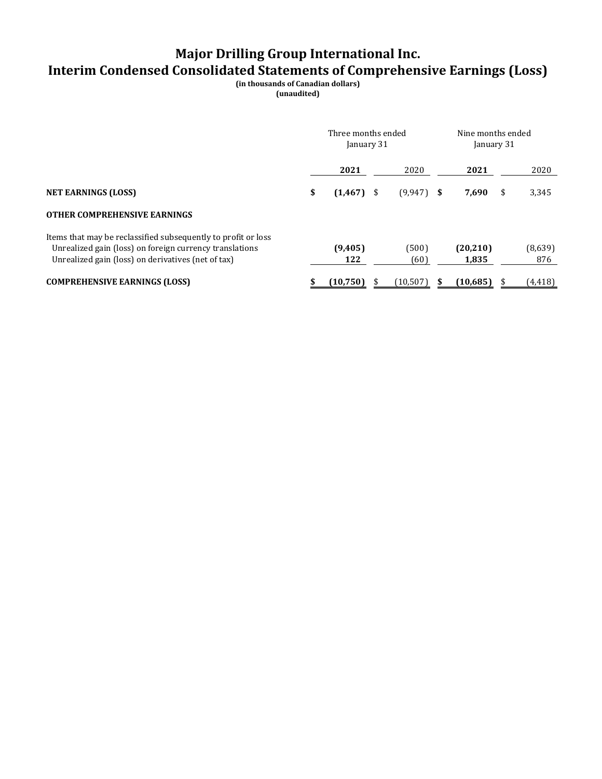# **Major Drilling Group International Inc.**

### **Interim Condensed Consolidated Statements of Comprehensive Earnings (Loss)**

**(in thousands of Canadian dollars)**

**(unaudited)**

|                                                                                                                                                                                | Three months ended<br>January 31 |                |     |               |  | Nine months ended<br>January 31 |    |                |  |
|--------------------------------------------------------------------------------------------------------------------------------------------------------------------------------|----------------------------------|----------------|-----|---------------|--|---------------------------------|----|----------------|--|
|                                                                                                                                                                                |                                  | 2021           |     | 2020          |  | 2021                            |    | 2020           |  |
| <b>NET EARNINGS (LOSS)</b>                                                                                                                                                     | \$                               | (1, 467)       | -\$ | $(9,947)$ \$  |  | 7,690                           | \$ | 3,345          |  |
| <b>OTHER COMPREHENSIVE EARNINGS</b>                                                                                                                                            |                                  |                |     |               |  |                                 |    |                |  |
| Items that may be reclassified subsequently to profit or loss<br>Unrealized gain (loss) on foreign currency translations<br>Unrealized gain (loss) on derivatives (net of tax) |                                  | (9,405)<br>122 |     | (500)<br>(60) |  | (20, 210)<br>1,835              |    | (8,639)<br>876 |  |
| <b>COMPREHENSIVE EARNINGS (LOSS)</b>                                                                                                                                           |                                  | (10, 750)      |     | (10, 507)     |  | (10, 685)                       |    | (4, 418)       |  |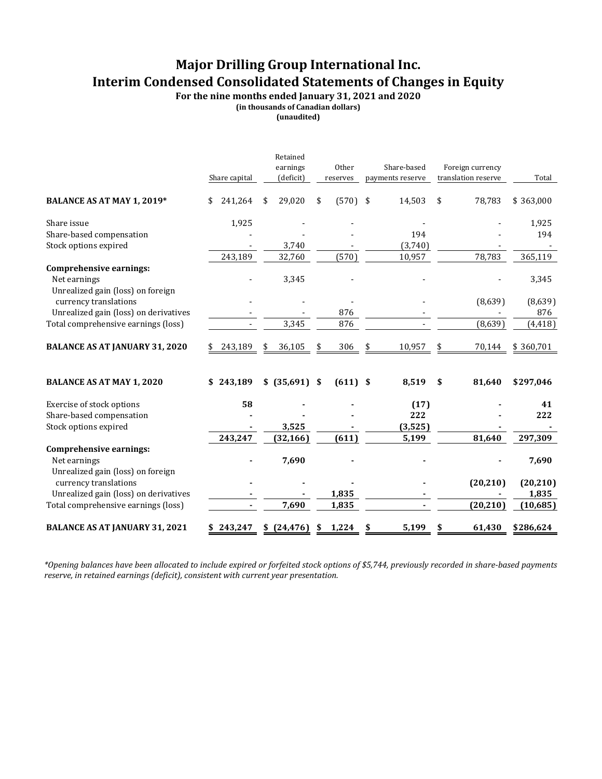### **Major Drilling Group International Inc. Interim Condensed Consolidated Statements of Changes in Equity**

**For the nine months ended January 31, 2021 and 2020**

**(in thousands of Canadian dollars)**

**(unaudited)**

|                                                            | Share capital | Retained<br>earnings<br>(deficit) |    | Other<br>reserves |     | Share-based<br>payments reserve | Foreign currency<br>translation reserve | Total     |
|------------------------------------------------------------|---------------|-----------------------------------|----|-------------------|-----|---------------------------------|-----------------------------------------|-----------|
| BALANCE AS AT MAY 1, 2019*                                 | \$<br>241,264 | \$<br>29,020                      | \$ | (570)             | -\$ | 14,503                          | \$<br>78,783                            | \$363,000 |
| Share issue                                                | 1,925         |                                   |    |                   |     |                                 |                                         | 1,925     |
| Share-based compensation                                   |               |                                   |    |                   |     | 194                             |                                         | 194       |
| Stock options expired                                      |               | 3,740                             |    |                   |     | (3,740)                         |                                         |           |
|                                                            | 243,189       | 32,760                            |    | (570)             |     | 10,957                          | 78,783                                  | 365,119   |
| <b>Comprehensive earnings:</b>                             |               |                                   |    |                   |     |                                 |                                         |           |
| Net earnings                                               |               | 3,345                             |    |                   |     |                                 |                                         | 3,345     |
| Unrealized gain (loss) on foreign<br>currency translations |               |                                   |    |                   |     |                                 | (8,639)                                 | (8,639)   |
| Unrealized gain (loss) on derivatives                      |               |                                   |    | 876               |     |                                 |                                         | 876       |
| Total comprehensive earnings (loss)                        |               | 3,345                             |    | 876               |     |                                 | (8,639)                                 | (4, 418)  |
| <b>BALANCE AS AT JANUARY 31, 2020</b>                      | 243,189       | 36,105                            |    | 306               |     | 10,957                          | 70,144                                  | \$360,701 |
| <b>BALANCE AS AT MAY 1, 2020</b>                           | \$243,189     | \$ (35,691)                       | \$ | $(611)$ \$        |     | 8,519                           | \$<br>81,640                            | \$297,046 |
| Exercise of stock options                                  | 58            |                                   |    |                   |     | (17)                            |                                         | 41        |
| Share-based compensation                                   |               |                                   |    |                   |     | 222                             |                                         | 222       |
| Stock options expired                                      |               | 3,525                             |    |                   |     | (3,525)                         |                                         |           |
|                                                            | 243,247       | (32, 166)                         |    | (611)             |     | 5,199                           | 81,640                                  | 297,309   |
| <b>Comprehensive earnings:</b>                             |               |                                   |    |                   |     |                                 |                                         |           |
| Net earnings<br>Unrealized gain (loss) on foreign          |               | 7,690                             |    |                   |     |                                 |                                         | 7,690     |
| currency translations                                      |               |                                   |    |                   |     |                                 | (20, 210)                               | (20, 210) |
| Unrealized gain (loss) on derivatives                      |               |                                   |    | 1,835             |     |                                 |                                         | 1,835     |
| Total comprehensive earnings (loss)                        |               | 7,690                             |    | 1,835             |     |                                 | (20, 210)                               | (10,685)  |
| <b>BALANCE AS AT JANUARY 31, 2021</b>                      | 243,247       | \$(24, 476)                       | S  | 1,224             | S   | 5,199                           | \$<br>61,430                            | \$286,624 |

*\*Opening balances have been allocated to include expired or forfeited stock options of \$5,744, previously recorded in share-based payments reserve, in retained earnings (deficit), consistent with current year presentation.*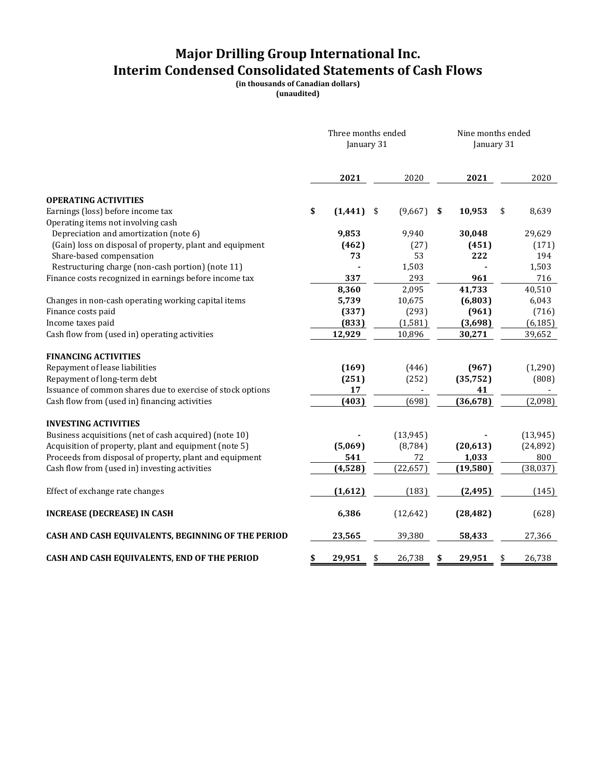### **Major Drilling Group International Inc. Interim Condensed Consolidated Statements of Cash Flows**

**(in thousands of Canadian dollars)**

**(unaudited)**

|                                                            | Three months ended<br>January 31 |              |    |           | Nine months ended<br>January 31 |           |    |           |
|------------------------------------------------------------|----------------------------------|--------------|----|-----------|---------------------------------|-----------|----|-----------|
|                                                            |                                  | 2021         |    | 2020      |                                 | 2021      |    | 2020      |
| <b>OPERATING ACTIVITIES</b>                                |                                  |              |    |           |                                 |           |    |           |
| Earnings (loss) before income tax                          | \$                               | $(1,441)$ \$ |    | (9,667)   | -\$                             | 10,953    | \$ | 8,639     |
| Operating items not involving cash                         |                                  |              |    |           |                                 |           |    |           |
| Depreciation and amortization (note 6)                     |                                  | 9,853        |    | 9,940     |                                 | 30,048    |    | 29,629    |
| (Gain) loss on disposal of property, plant and equipment   |                                  | (462)        |    | (27)      |                                 | (451)     |    | (171)     |
| Share-based compensation                                   |                                  | 73           |    | 53        |                                 | 222       |    | 194       |
| Restructuring charge (non-cash portion) (note 11)          |                                  |              |    | 1,503     |                                 |           |    | 1,503     |
| Finance costs recognized in earnings before income tax     |                                  | 337          |    | 293       |                                 | 961       |    | 716       |
|                                                            |                                  | 8,360        |    | 2,095     |                                 | 41,733    |    | 40,510    |
| Changes in non-cash operating working capital items        |                                  | 5,739        |    | 10,675    |                                 | (6,803)   |    | 6,043     |
| Finance costs paid                                         |                                  | (337)        |    | (293)     |                                 | (961)     |    | (716)     |
| Income taxes paid                                          |                                  | (833)        |    | (1, 581)  |                                 | (3,698)   |    | (6, 185)  |
| Cash flow from (used in) operating activities              |                                  | 12,929       |    | 10,896    |                                 | 30,271    |    | 39,652    |
| <b>FINANCING ACTIVITIES</b>                                |                                  |              |    |           |                                 |           |    |           |
| Repayment of lease liabilities                             |                                  | (169)        |    | (446)     |                                 | (967)     |    | (1,290)   |
| Repayment of long-term debt                                |                                  | (251)        |    | (252)     |                                 | (35, 752) |    | (808)     |
| Issuance of common shares due to exercise of stock options |                                  | 17           |    |           |                                 | 41        |    |           |
| Cash flow from (used in) financing activities              |                                  | (403)        |    | (698)     |                                 | (36, 678) |    | (2,098)   |
| <b>INVESTING ACTIVITIES</b>                                |                                  |              |    |           |                                 |           |    |           |
| Business acquisitions (net of cash acquired) (note 10)     |                                  |              |    | (13, 945) |                                 |           |    | (13, 945) |
| Acquisition of property, plant and equipment (note 5)      |                                  | (5,069)      |    | (8, 784)  |                                 | (20, 613) |    | (24, 892) |
| Proceeds from disposal of property, plant and equipment    |                                  | 541          |    | 72        |                                 | 1,033     |    | 800       |
| Cash flow from (used in) investing activities              |                                  | (4, 528)     |    | (22, 657) |                                 | (19, 580) |    | (38, 037) |
| Effect of exchange rate changes                            |                                  | (1,612)      |    | (183)     |                                 | (2, 495)  |    | (145)     |
| <b>INCREASE (DECREASE) IN CASH</b>                         |                                  | 6,386        |    | (12,642)  |                                 | (28, 482) |    | (628)     |
| CASH AND CASH EQUIVALENTS, BEGINNING OF THE PERIOD         |                                  | 23,565       |    | 39,380    |                                 | 58,433    |    | 27,366    |
| CASH AND CASH EQUIVALENTS, END OF THE PERIOD               | \$                               | 29,951       | \$ | 26,738    | \$                              | 29,951    | \$ | 26,738    |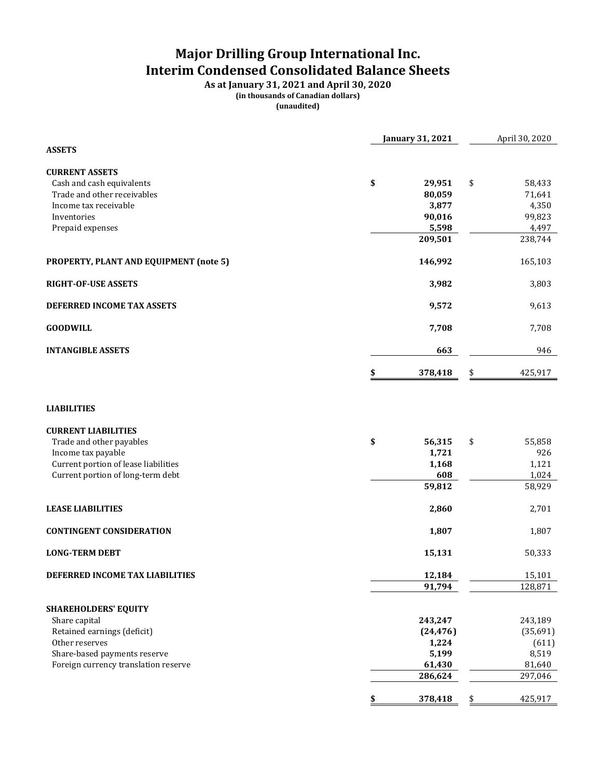## **Major Drilling Group International Inc. Interim Condensed Consolidated Balance Sheets**

**As at January 31, 2021 and April 30, 2020 (in thousands of Canadian dollars) (unaudited)**

|                                                                              | <b>January 31, 2021</b> | April 30, 2020      |
|------------------------------------------------------------------------------|-------------------------|---------------------|
| <b>ASSETS</b>                                                                |                         |                     |
| <b>CURRENT ASSETS</b>                                                        |                         |                     |
| Cash and cash equivalents                                                    | \$<br>29,951            | \$<br>58,433        |
| Trade and other receivables                                                  | 80,059                  | 71,641              |
| Income tax receivable                                                        | 3,877                   | 4,350               |
| Inventories                                                                  | 90,016                  | 99,823              |
| Prepaid expenses                                                             | 5,598                   | 4,497               |
|                                                                              | 209,501                 | 238,744             |
| PROPERTY, PLANT AND EQUIPMENT (note 5)                                       | 146,992                 | 165,103             |
| <b>RIGHT-OF-USE ASSETS</b>                                                   | 3,982                   | 3,803               |
| DEFERRED INCOME TAX ASSETS                                                   | 9,572                   | 9,613               |
| <b>GOODWILL</b>                                                              | 7,708                   | 7,708               |
| <b>INTANGIBLE ASSETS</b>                                                     | 663                     | 946                 |
|                                                                              | 378,418<br>\$           | \$<br>425,917       |
| <b>CURRENT LIABILITIES</b><br>Trade and other payables<br>Income tax payable | \$<br>56,315<br>1,721   | \$<br>55,858<br>926 |
| Current portion of lease liabilities                                         | 1,168                   | 1,121               |
| Current portion of long-term debt                                            | 608                     | 1,024               |
|                                                                              | 59,812                  | 58,929              |
| <b>LEASE LIABILITIES</b>                                                     | 2,860                   | 2,701               |
| <b>CONTINGENT CONSIDERATION</b>                                              | 1,807                   | 1,807               |
| <b>LONG-TERM DEBT</b>                                                        | 15,131                  | 50,333              |
| DEFERRED INCOME TAX LIABILITIES                                              | 12,184                  | 15,101              |
|                                                                              | 91,794                  | 128,871             |
| <b>SHAREHOLDERS' EQUITY</b>                                                  |                         |                     |
| Share capital                                                                | 243,247                 | 243,189             |
| Retained earnings (deficit)                                                  | (24, 476)               | (35,691)            |
| Other reserves                                                               | 1,224                   | (611)               |
| Share-based payments reserve                                                 | 5,199                   | 8,519               |
| Foreign currency translation reserve                                         | 61,430<br>286,624       | 81,640<br>297,046   |
|                                                                              |                         |                     |
|                                                                              | \$<br>378,418           | \$<br>425,917       |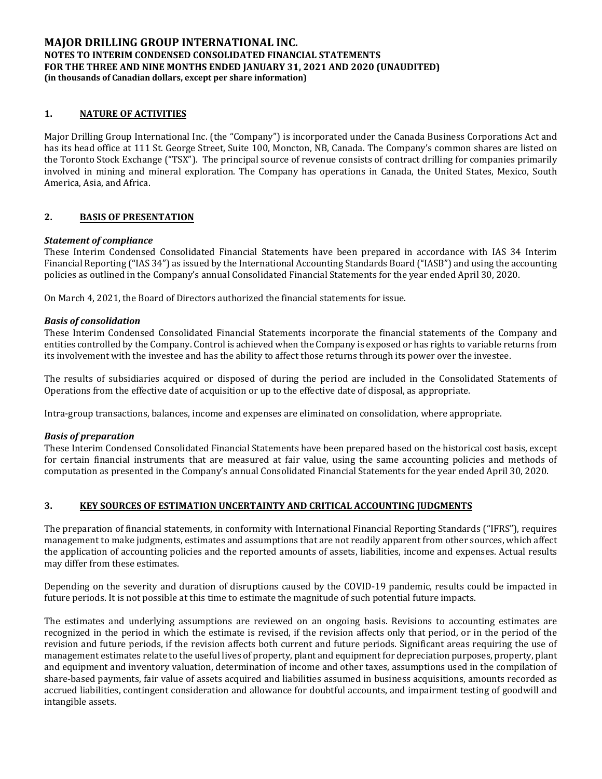#### **1. NATURE OF ACTIVITIES**

Major Drilling Group International Inc. (the "Company") is incorporated under the Canada Business Corporations Act and has its head office at 111 St. George Street, Suite 100, Moncton, NB, Canada. The Company's common shares are listed on the Toronto Stock Exchange ("TSX"). The principal source of revenue consists of contract drilling for companies primarily involved in mining and mineral exploration. The Company has operations in Canada, the United States, Mexico, South America, Asia, and Africa.

#### **2. BASIS OF PRESENTATION**

#### *Statement of compliance*

These Interim Condensed Consolidated Financial Statements have been prepared in accordance with IAS 34 Interim Financial Reporting ("IAS 34") as issued by the International Accounting Standards Board ("IASB") and using the accounting policies as outlined in the Company's annual Consolidated Financial Statements for the year ended April 30, 2020.

On March 4, 2021, the Board of Directors authorized the financial statements for issue.

#### *Basis of consolidation*

These Interim Condensed Consolidated Financial Statements incorporate the financial statements of the Company and entities controlled by the Company. Control is achieved when the Company is exposed or has rights to variable returns from its involvement with the investee and has the ability to affect those returns through its power over the investee.

The results of subsidiaries acquired or disposed of during the period are included in the Consolidated Statements of Operations from the effective date of acquisition or up to the effective date of disposal, as appropriate.

Intra-group transactions, balances, income and expenses are eliminated on consolidation, where appropriate.

#### *Basis of preparation*

These Interim Condensed Consolidated Financial Statements have been prepared based on the historical cost basis, except for certain financial instruments that are measured at fair value, using the same accounting policies and methods of computation as presented in the Company's annual Consolidated Financial Statements for the year ended April 30, 2020.

#### **3. KEY SOURCES OF ESTIMATION UNCERTAINTY AND CRITICAL ACCOUNTING JUDGMENTS**

The preparation of financial statements, in conformity with International Financial Reporting Standards ("IFRS"), requires management to make judgments, estimates and assumptions that are not readily apparent from other sources, which affect the application of accounting policies and the reported amounts of assets, liabilities, income and expenses. Actual results may differ from these estimates.

Depending on the severity and duration of disruptions caused by the COVID-19 pandemic, results could be impacted in future periods. It is not possible at this time to estimate the magnitude of such potential future impacts.

The estimates and underlying assumptions are reviewed on an ongoing basis. Revisions to accounting estimates are recognized in the period in which the estimate is revised, if the revision affects only that period, or in the period of the revision and future periods, if the revision affects both current and future periods. Significant areas requiring the use of management estimates relate to the useful lives of property, plant and equipment for depreciation purposes, property, plant and equipment and inventory valuation, determination of income and other taxes, assumptions used in the compilation of share-based payments, fair value of assets acquired and liabilities assumed in business acquisitions, amounts recorded as accrued liabilities, contingent consideration and allowance for doubtful accounts, and impairment testing of goodwill and intangible assets.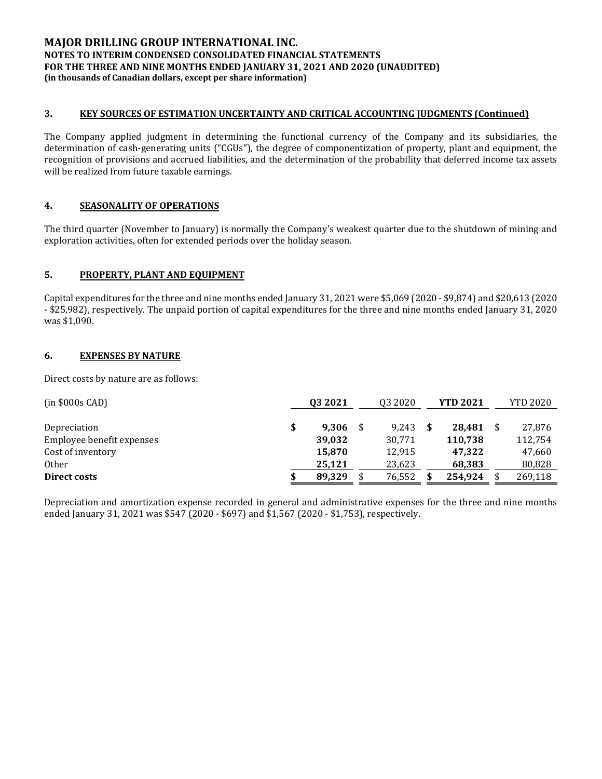#### **3. KEY SOURCES OF ESTIMATION UNCERTAINTY AND CRITICAL ACCOUNTING JUDGMENTS (Continued)**

The Company applied judgment in determining the functional currency of the Company and its subsidiaries, the determination of cash-generating units ("CGUs"), the degree of componentization of property, plant and equipment, the recognition of provisions and accrued liabilities, and the determination of the probability that deferred income tax assets will be realized from future taxable earnings.

#### **4. SEASONALITY OF OPERATIONS**

The third quarter (November to January) is normally the Company's weakest quarter due to the shutdown of mining and exploration activities, often for extended periods over the holiday season.

#### **5. PROPERTY, PLANT AND EQUIPMENT**

Capital expenditures for the three and nine months ended January 31, 2021 were \$5,069 (2020 - \$9,874) and \$20,613 (2020 - \$25,982), respectively. The unpaid portion of capital expenditures for the three and nine months ended January 31, 2020 was \$1,090.

#### **6. EXPENSES BY NATURE**

Direct costs by nature are as follows:

| $(in $000s$ CAD)          |     | 03 20 21 | Q3 2020 | <b>YTD 2021</b> | <b>YTD 2020</b> |
|---------------------------|-----|----------|---------|-----------------|-----------------|
| Depreciation              | \$  | 9.306    | 9.243   | 28.481          | 27,876          |
| Employee benefit expenses |     | 39,032   | 30,771  | 110,738         | 112.754         |
| Cost of inventory         |     | 15,870   | 12,915  | 47,322          | 47,660          |
| <b>Other</b>              |     | 25,121   | 23,623  | 68,383          | 80,828          |
| Direct costs              | \$. | 89.329   | 76,552  | 254.924         | 269,118         |

Depreciation and amortization expense recorded in general and administrative expenses for the three and nine months ended January 31, 2021 was \$547 (2020 - \$697) and \$1,567 (2020 - \$1,753), respectively.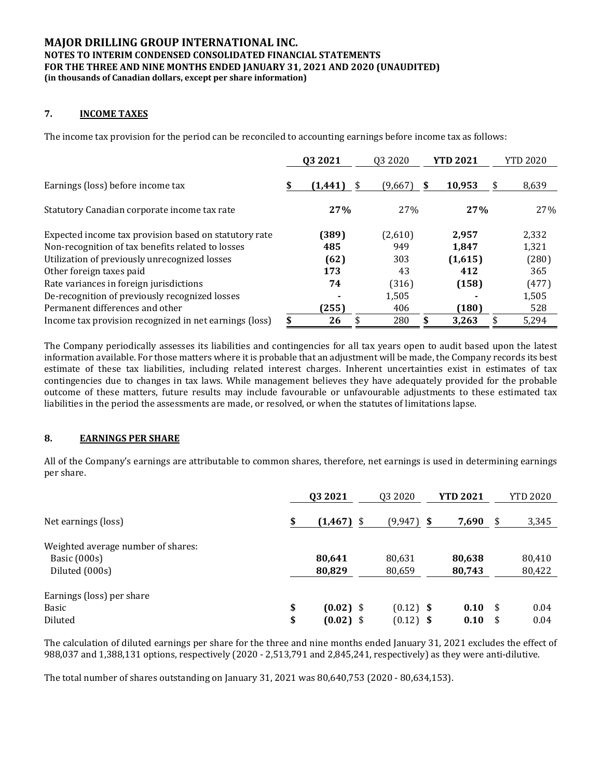#### **7. INCOME TAXES**

The income tax provision for the period can be reconciled to accounting earnings before income tax as follows:

|                                                        |    | 03 2021  | 03 20 20 | <b>YTD 2021</b> | <b>YTD 2020</b> |
|--------------------------------------------------------|----|----------|----------|-----------------|-----------------|
| Earnings (loss) before income tax                      | S  | (1,441)  | (9,667)  | 10,953<br>S     | 8,639           |
| Statutory Canadian corporate income tax rate           |    | 27%      | 27%      | 27%             | 27%             |
| Expected income tax provision based on statutory rate  |    | (389)    | (2,610)  | 2,957           | 2,332           |
| Non-recognition of tax benefits related to losses      |    | 485      | 949      | 1.847           | 1,321           |
| Utilization of previously unrecognized losses          |    | (62)     | 303      | (1,615)         | (280)           |
| Other foreign taxes paid                               |    | 173      | 43       | 412             | 365             |
| Rate variances in foreign jurisdictions                |    | 74       | (316)    | (158)           | (477)           |
| De-recognition of previously recognized losses         |    |          | 1,505    |                 | 1,505           |
| Permanent differences and other                        |    | (255)    | 406      | (180)           | 528             |
| Income tax provision recognized in net earnings (loss) | \$ | 26<br>\$ | 280      | 3.263           | 5,294           |

The Company periodically assesses its liabilities and contingencies for all tax years open to audit based upon the latest information available. For those matters where it is probable that an adjustment will be made, the Company records its best estimate of these tax liabilities, including related interest charges. Inherent uncertainties exist in estimates of tax contingencies due to changes in tax laws. While management believes they have adequately provided for the probable outcome of these matters, future results may include favourable or unfavourable adjustments to these estimated tax liabilities in the period the assessments are made, or resolved, or when the statutes of limitations lapse.

#### **8. EARNINGS PER SHARE**

All of the Company's earnings are attributable to common shares, therefore, net earnings is used in determining earnings per share.

|                                    | 03 20 21             | Q3 2020      | <b>YTD 2021</b> | <b>YTD 2020</b> |
|------------------------------------|----------------------|--------------|-----------------|-----------------|
| Net earnings (loss)                | \$<br>(1, 467)<br>\$ | $(9,947)$ \$ | 7,690           | \$<br>3,345     |
| Weighted average number of shares: |                      |              |                 |                 |
| Basic (000s)                       | 80,641               | 80,631       | 80,638          | 80,410          |
| Diluted (000s)                     | 80,829               | 80,659       | 80,743          | 80,422          |
| Earnings (loss) per share          |                      |              |                 |                 |
| Basic                              | \$<br>$(0.02)$ \$    | $(0.12)$ \$  | 0.10            | \$<br>0.04      |
| Diluted                            | \$<br>$(0.02)$ \$    | $(0.12)$ \$  | 0.10            | \$<br>0.04      |

The calculation of diluted earnings per share for the three and nine months ended January 31, 2021 excludes the effect of 988,037 and 1,388,131 options, respectively (2020 - 2,513,791 and 2,845,241, respectively) as they were anti-dilutive.

The total number of shares outstanding on January 31, 2021 was 80,640,753 (2020 - 80,634,153).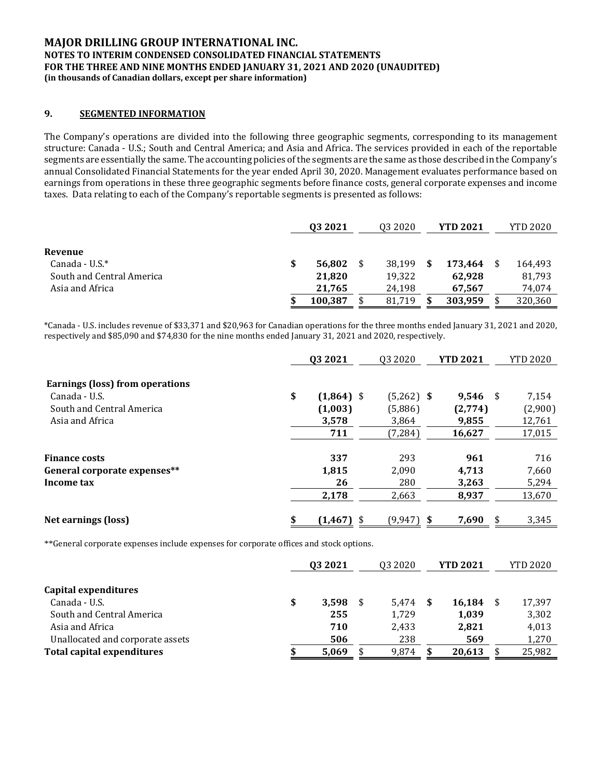#### **9. SEGMENTED INFORMATION**

The Company's operations are divided into the following three geographic segments, corresponding to its management structure: Canada - U.S.; South and Central America; and Asia and Africa. The services provided in each of the reportable segments are essentially the same. The accounting policies of the segments are the same as those described in the Company's annual Consolidated Financial Statements for the year ended April 30, 2020. Management evaluates performance based on earnings from operations in these three geographic segments before finance costs, general corporate expenses and income taxes. Data relating to each of the Company's reportable segments is presented as follows:

|                           | 03 2021      | 03 20 20 |    | <b>YTD 2021</b> | <b>YTD 2020</b> |
|---------------------------|--------------|----------|----|-----------------|-----------------|
|                           |              |          |    |                 |                 |
| Revenue                   |              |          |    |                 |                 |
| Canada - U.S. $*$         | \$<br>56,802 | 38.199   | S  | 173.464         | 164,493         |
| South and Central America | 21,820       | 19,322   |    | 62.928          | 81,793          |
| Asia and Africa           | 21.765       | 24.198   |    | 67.567          | 74.074          |
|                           | 100,387      | 81,719   | \$ | 303,959         | 320,360         |

\*Canada - U.S. includes revenue of \$33,371 and \$20,963 for Canadian operations for the three months ended January 31, 2021 and 2020, respectively and \$85,090 and \$74,830 for the nine months ended January 31, 2021 and 2020, respectively.

|                                 | 03 20 21           | 03 20 20     |   | <b>YTD 2021</b> | <b>YTD 2020</b> |
|---------------------------------|--------------------|--------------|---|-----------------|-----------------|
| Earnings (loss) from operations |                    |              |   |                 |                 |
| Canada - U.S.                   | \$<br>$(1,864)$ \$ | $(5,262)$ \$ |   | $9.546$ \$      | 7,154           |
| South and Central America       | (1,003)            | (5,886)      |   | (2,774)         | (2,900)         |
| Asia and Africa                 | 3,578              | 3.864        |   | 9,855           | 12,761          |
|                                 | 711                | (7, 284)     |   | 16,627          | 17,015          |
| <b>Finance costs</b>            | 337                | 293          |   | 961             | 716             |
| General corporate expenses**    | 1,815              | 2,090        |   | 4,713           | 7,660           |
| Income tax                      | 26                 | 280          |   | 3,263           | 5,294           |
|                                 | 2,178              | 2,663        |   | 8,937           | 13,670          |
| Net earnings (loss)             | \$<br>(1, 467)     | (9, 947)     | S | 7,690           | \$<br>3,345     |

\*\*General corporate expenses include expenses for corporate offices and stock options.

|                                   | 03 20 21    | 03 20 20 | <b>YTD 2021</b> | <b>YTD 2020</b> |
|-----------------------------------|-------------|----------|-----------------|-----------------|
|                                   |             |          |                 |                 |
| Capital expenditures              |             |          |                 |                 |
| Canada - U.S.                     | \$<br>3.598 | 5.474    | 16,184          | 17,397          |
| South and Central America         | 255         | 1,729    | 1,039           | 3,302           |
| Asia and Africa                   | 710         | 2.433    | 2,821           | 4,013           |
| Unallocated and corporate assets  | 506         | 238      | 569             | 1,270           |
| <b>Total capital expenditures</b> | 5,069       | 9.874    | 20,613          | 25,982          |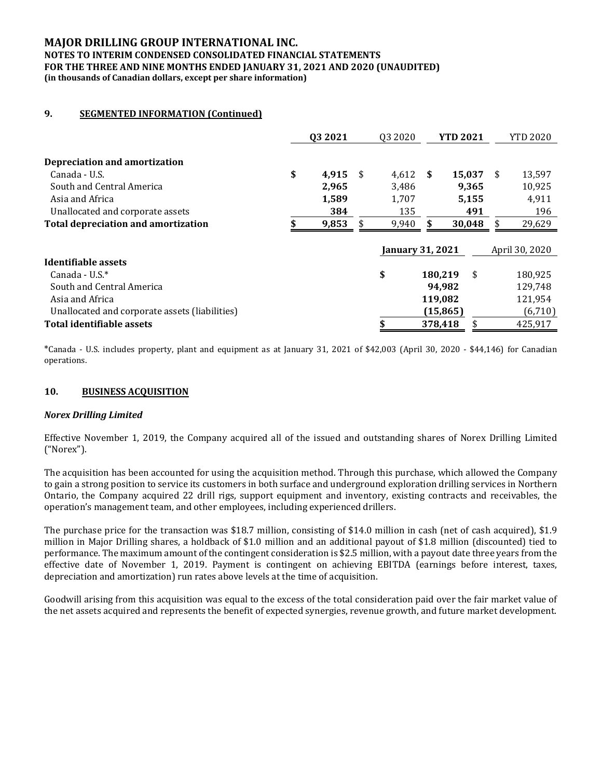#### **MAJOR DRILLING GROUP INTERNATIONAL INC.**

#### **NOTES TO INTERIM CONDENSED CONSOLIDATED FINANCIAL STATEMENTS FOR THE THREE AND NINE MONTHS ENDED JANUARY 31, 2021 AND 2020 (UNAUDITED) (in thousands of Canadian dollars, except per share information)**

#### **9. SEGMENTED INFORMATION (Continued)**

|                                                | 03 2021 |       | 03 20 20 | <b>YTD 2021</b>         |     | <b>YTD 2020</b> |                |
|------------------------------------------------|---------|-------|----------|-------------------------|-----|-----------------|----------------|
| Depreciation and amortization                  |         |       |          |                         |     |                 |                |
|                                                |         |       |          |                         |     |                 |                |
| Canada - U.S.                                  | \$      | 4,915 | - \$     | 4,612 \$                |     | 15,037          | \$<br>13,597   |
| South and Central America                      |         | 2,965 |          | 3,486                   |     | 9,365           | 10,925         |
| Asia and Africa                                |         | 1,589 |          | 1,707                   |     | 5,155           | 4,911          |
| Unallocated and corporate assets               |         | 384   |          | 135                     |     | 491             | 196            |
| <b>Total depreciation and amortization</b>     |         | 9,853 | \$       | 9,940                   | \$. | 30,048          | \$<br>29,629   |
|                                                |         |       |          |                         |     |                 |                |
|                                                |         |       |          | <b>January 31, 2021</b> |     |                 | April 30, 2020 |
| Identifiable assets                            |         |       |          |                         |     |                 |                |
| Canada - U.S. $*$                              |         |       |          | \$                      |     | \$<br>180,219   | 180,925        |
| South and Central America                      |         |       |          |                         |     | 94.982          | 129,748        |
| Asia and Africa                                |         |       |          |                         |     | 119,082         | 121,954        |
| Unallocated and corporate assets (liabilities) |         |       |          |                         |     | (15, 865)       | (6,710)        |
| Total identifiable assets                      |         |       |          |                         |     | 378,418         | 425,917        |

\*Canada - U.S. includes property, plant and equipment as at January 31, 2021 of \$42,003 (April 30, 2020 - \$44,146) for Canadian operations.

#### **10. BUSINESS ACQUISITION**

#### *Norex Drilling Limited*

Effective November 1, 2019, the Company acquired all of the issued and outstanding shares of Norex Drilling Limited ("Norex").

The acquisition has been accounted for using the acquisition method. Through this purchase, which allowed the Company to gain a strong position to service its customers in both surface and underground exploration drilling services in Northern Ontario, the Company acquired 22 drill rigs, support equipment and inventory, existing contracts and receivables, the operation's management team, and other employees, including experienced drillers.

The purchase price for the transaction was \$18.7 million, consisting of \$14.0 million in cash (net of cash acquired), \$1.9 million in Major Drilling shares, a holdback of \$1.0 million and an additional payout of \$1.8 million (discounted) tied to performance. The maximum amount of the contingent consideration is \$2.5 million, with a payout date three years from the effective date of November 1, 2019. Payment is contingent on achieving EBITDA (earnings before interest, taxes, depreciation and amortization) run rates above levels at the time of acquisition.

Goodwill arising from this acquisition was equal to the excess of the total consideration paid over the fair market value of the net assets acquired and represents the benefit of expected synergies, revenue growth, and future market development.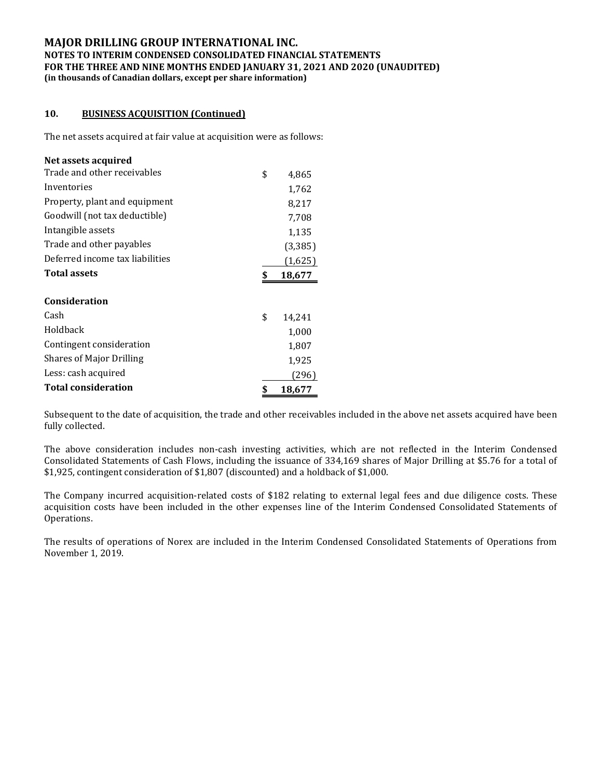#### **10. BUSINESS ACQUISITION (Continued)**

The net assets acquired at fair value at acquisition were as follows:

| Net assets acquired             |              |
|---------------------------------|--------------|
| Trade and other receivables     | \$<br>4,865  |
| Inventories                     | 1,762        |
| Property, plant and equipment   | 8,217        |
| Goodwill (not tax deductible)   | 7,708        |
| Intangible assets               | 1,135        |
| Trade and other payables        | (3,385)      |
| Deferred income tax liabilities | (1,625)      |
| <b>Total assets</b>             | \$<br>18,677 |
| <b>Consideration</b>            |              |
| Cash                            | \$<br>14,241 |
| Holdback                        | 1,000        |
| Contingent consideration        | 1,807        |
| <b>Shares of Major Drilling</b> | 1,925        |
| Less: cash acquired             | (296)        |
| <b>Total consideration</b>      | \$<br>18,677 |

Subsequent to the date of acquisition, the trade and other receivables included in the above net assets acquired have been fully collected.

The above consideration includes non-cash investing activities, which are not reflected in the Interim Condensed Consolidated Statements of Cash Flows, including the issuance of 334,169 shares of Major Drilling at \$5.76 for a total of \$1,925, contingent consideration of \$1,807 (discounted) and a holdback of \$1,000.

The Company incurred acquisition-related costs of \$182 relating to external legal fees and due diligence costs. These acquisition costs have been included in the other expenses line of the Interim Condensed Consolidated Statements of Operations.

The results of operations of Norex are included in the Interim Condensed Consolidated Statements of Operations from November 1, 2019.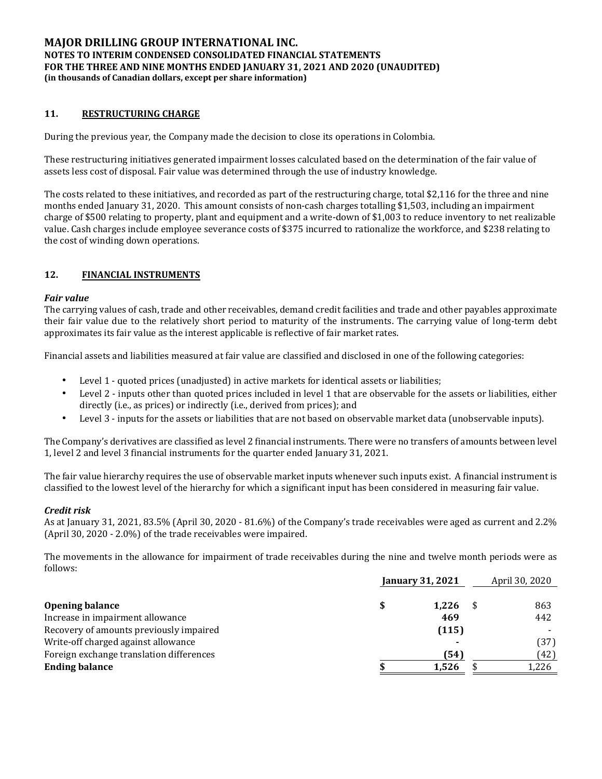#### **11. RESTRUCTURING CHARGE**

During the previous year, the Company made the decision to close its operations in Colombia.

These restructuring initiatives generated impairment losses calculated based on the determination of the fair value of assets less cost of disposal. Fair value was determined through the use of industry knowledge.

The costs related to these initiatives, and recorded as part of the restructuring charge, total \$2,116 for the three and nine months ended January 31, 2020. This amount consists of non-cash charges totalling \$1,503, including an impairment charge of \$500 relating to property, plant and equipment and a write-down of \$1,003 to reduce inventory to net realizable value. Cash charges include employee severance costs of \$375 incurred to rationalize the workforce, and \$238 relating to the cost of winding down operations.

#### **12. FINANCIAL INSTRUMENTS**

#### *Fair value*

The carrying values of cash, trade and other receivables, demand credit facilities and trade and other payables approximate their fair value due to the relatively short period to maturity of the instruments. The carrying value of long-term debt approximates its fair value as the interest applicable is reflective of fair market rates.

Financial assets and liabilities measured at fair value are classified and disclosed in one of the following categories:

- Level 1 quoted prices (unadjusted) in active markets for identical assets or liabilities;
- Level 2 inputs other than quoted prices included in level 1 that are observable for the assets or liabilities, either directly (i.e., as prices) or indirectly (i.e., derived from prices); and
- Level 3 inputs for the assets or liabilities that are not based on observable market data (unobservable inputs).

The Company's derivatives are classified as level 2 financial instruments. There were no transfers of amounts between level 1, level 2 and level 3 financial instruments for the quarter ended January 31, 2021.

The fair value hierarchy requires the use of observable market inputs whenever such inputs exist. A financial instrument is classified to the lowest level of the hierarchy for which a significant input has been considered in measuring fair value.

#### *Credit risk*

As at January 31, 2021, 83.5% (April 30, 2020 - 81.6%) of the Company's trade receivables were aged as current and 2.2% (April 30, 2020 - 2.0%) of the trade receivables were impaired.

The movements in the allowance for impairment of trade receivables during the nine and twelve month periods were as follows:

|                                          | <b>January 31, 2021</b> |       |  | April 30, 2020 |  |  |
|------------------------------------------|-------------------------|-------|--|----------------|--|--|
| <b>Opening balance</b>                   |                         | 1.226 |  | 863            |  |  |
| Increase in impairment allowance         |                         | 469   |  | 442            |  |  |
| Recovery of amounts previously impaired  |                         | (115) |  |                |  |  |
| Write-off charged against allowance      |                         |       |  | (37)           |  |  |
| Foreign exchange translation differences |                         | (54)  |  | (42)           |  |  |
| <b>Ending balance</b>                    |                         | 1,526 |  | 1,226          |  |  |